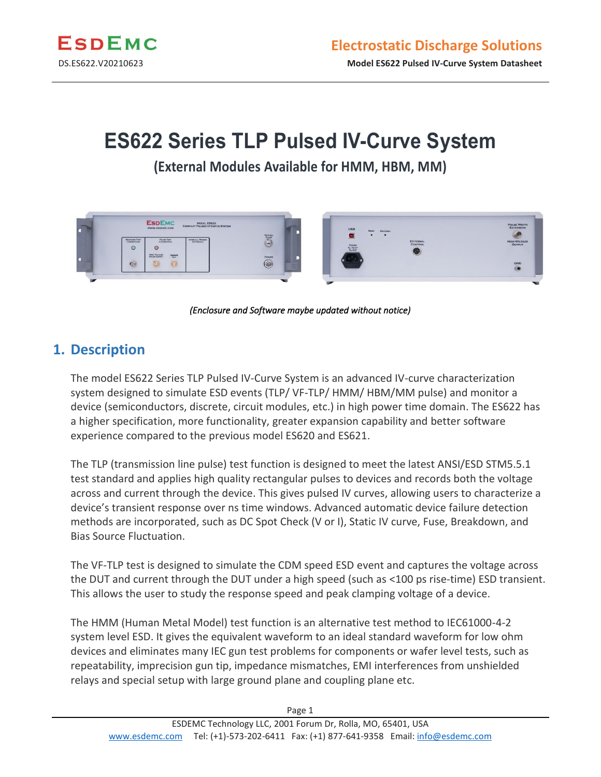

# **ES622 Series TLP Pulsed IV-Curve System**

**(External Modules Available for HMM, HBM, MM)**



*(Enclosure and Software maybe updated without notice)* 

### **1. Description**

The model ES622 Series TLP Pulsed IV-Curve System is an advanced IV-curve characterization system designed to simulate ESD events (TLP/ VF-TLP/ HMM/ HBM/MM pulse) and monitor a device (semiconductors, discrete, circuit modules, etc.) in high power time domain. The ES622 has a higher specification, more functionality, greater expansion capability and better software experience compared to the previous model ES620 and ES621.

The TLP (transmission line pulse) test function is designed to meet the latest ANSI/ESD STM5.5.1 test standard and applies high quality rectangular pulses to devices and records both the voltage across and current through the device. This gives pulsed IV curves, allowing users to characterize a device's transient response over ns time windows. Advanced automatic device failure detection methods are incorporated, such as DC Spot Check (V or I), Static IV curve, Fuse, Breakdown, and Bias Source Fluctuation.

The VF-TLP test is designed to simulate the CDM speed ESD event and captures the voltage across the DUT and current through the DUT under a high speed (such as <100 ps rise-time) ESD transient. This allows the user to study the response speed and peak clamping voltage of a device.

The HMM (Human Metal Model) test function is an alternative test method to IEC61000-4-2 system level ESD. It gives the equivalent waveform to an ideal standard waveform for low ohm devices and eliminates many IEC gun test problems for components or wafer level tests, such as repeatability, imprecision gun tip, impedance mismatches, EMI interferences from unshielded relays and special setup with large ground plane and coupling plane etc.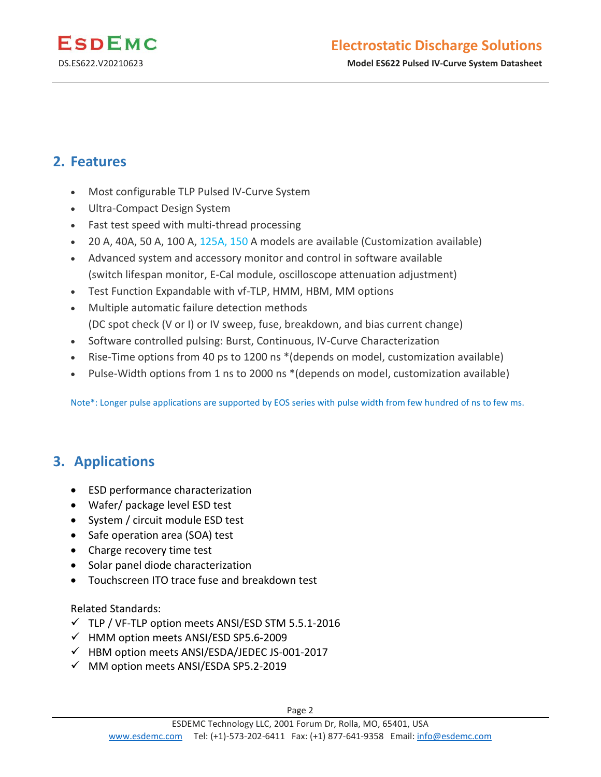

DS.ES622.V20210623 **Model ES622 Pulsed IV-Curve System Datasheet**

### **2. Features**

- Most configurable TLP Pulsed IV-Curve System
- Ultra-Compact Design System
- Fast test speed with multi-thread processing
- 20 A, 40A, 50 A, 100 A, 125A, 150 A models are available (Customization available)
- Advanced system and accessory monitor and control in software available (switch lifespan monitor, E-Cal module, oscilloscope attenuation adjustment)
- Test Function Expandable with vf-TLP, HMM, HBM, MM options
- Multiple automatic failure detection methods (DC spot check (V or I) or IV sweep, fuse, breakdown, and bias current change)
- Software controlled pulsing: Burst, Continuous, IV-Curve Characterization
- Rise-Time options from 40 ps to 1200 ns \*(depends on model, customization available)
- Pulse-Width options from 1 ns to 2000 ns \*(depends on model, customization available)

Note\*: Longer pulse applications are supported by EOS series with pulse width from few hundred of ns to few ms.

### **3. Applications**

- ESD performance characterization
- Wafer/ package level ESD test
- System / circuit module ESD test
- Safe operation area (SOA) test
- Charge recovery time test
- Solar panel diode characterization
- Touchscreen ITO trace fuse and breakdown test

#### Related Standards:

- ✓ TLP / VF-TLP option meets ANSI/ESD STM 5.5.1-2016
- ✓ HMM option meets ANSI/ESD SP5.6-2009
- ✓ HBM option meets ANSI/ESDA/JEDEC JS-001-2017
- ✓ MM option meets ANSI/ESDA SP5.2-2019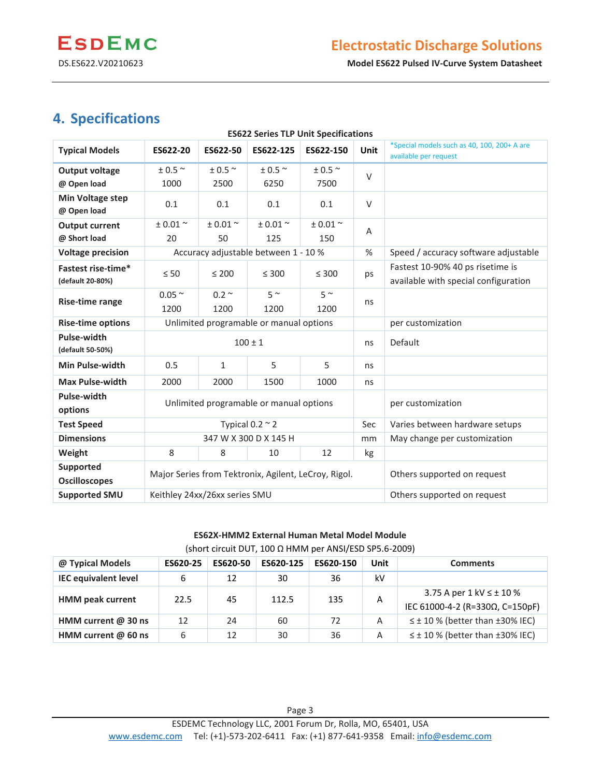DS.ES622.V20210623 **Model ES622 Pulsed IV-Curve System Datasheet**

## **4. Specifications**

| <b>ES622 Series TLP Unit Specifications</b> |                                                      |                     |            |                     |             |                                                                      |  |  |
|---------------------------------------------|------------------------------------------------------|---------------------|------------|---------------------|-------------|----------------------------------------------------------------------|--|--|
| <b>Typical Models</b>                       | ES622-20                                             | ES622-50            | ES622-125  | ES622-150           | <b>Unit</b> | *Special models such as 40, 100, 200+ A are<br>available per request |  |  |
| <b>Output voltage</b>                       | $\pm$ 0.5 $^{\sim}$                                  | $\pm$ 0.5 $^{\sim}$ | $± 0.5$ ~  | $\pm$ 0.5 $^{\sim}$ |             |                                                                      |  |  |
| @ Open load                                 | 1000                                                 | 2500                | 6250       | 7500                | $\vee$      |                                                                      |  |  |
| <b>Min Voltage step</b><br>@ Open load      | 0.1                                                  | 0.1                 | 0.1        | 0.1                 | $\vee$      |                                                                      |  |  |
| <b>Output current</b>                       | $± 0.01$ ~                                           | $± 0.01$ ~          | $± 0.01$ ~ | $± 0.01$ ~          | A           |                                                                      |  |  |
| @ Short load                                | 20                                                   | 50                  | 125        | 150                 |             |                                                                      |  |  |
| <b>Voltage precision</b>                    | Accuracy adjustable between 1 - 10 %                 |                     |            |                     | %           | Speed / accuracy software adjustable                                 |  |  |
| Fastest rise-time*                          | $\leq 50$                                            | $\leq 200$          | $\leq 300$ | $\leq 300$          | ps          | Fastest 10-90% 40 ps risetime is                                     |  |  |
| (default 20-80%)                            |                                                      |                     |            |                     |             | available with special configuration                                 |  |  |
|                                             | $0.05 \sim$                                          | $0.2 \sim$          | $5^{\sim}$ | $5^{\sim}$          | ns          |                                                                      |  |  |
| Rise-time range                             | 1200                                                 | 1200                | 1200       | 1200                |             |                                                                      |  |  |
| <b>Rise-time options</b>                    | Unlimited programable or manual options              |                     |            |                     |             | per customization                                                    |  |  |
| Pulse-width<br>(default 50-50%)             | $100 \pm 1$                                          |                     |            |                     |             | Default                                                              |  |  |
| <b>Min Pulse-width</b>                      | 0.5                                                  | $\mathbf{1}$        | 5          | 5                   | ns          |                                                                      |  |  |
| <b>Max Pulse-width</b>                      | 2000                                                 | 2000                | 1500       | 1000                | ns          |                                                                      |  |  |
| Pulse-width<br>options                      | Unlimited programable or manual options              |                     |            |                     |             | per customization                                                    |  |  |
| <b>Test Speed</b>                           | Typical $0.2 \approx 2$                              |                     |            |                     |             | Varies between hardware setups                                       |  |  |
| <b>Dimensions</b>                           | 347 W X 300 D X 145 H                                |                     |            |                     |             | May change per customization                                         |  |  |
| Weight                                      | 8                                                    | 8                   | 10         | 12                  | kg          |                                                                      |  |  |
| Supported                                   |                                                      |                     |            |                     |             |                                                                      |  |  |
| <b>Oscilloscopes</b>                        | Major Series from Tektronix, Agilent, LeCroy, Rigol. |                     |            |                     |             | Others supported on request                                          |  |  |
| <b>Supported SMU</b>                        | Keithley 24xx/26xx series SMU                        |                     |            |                     |             | Others supported on request                                          |  |  |

#### **ES62X-HMM2 External Human Metal Model Module**  (short circuit DUT, 100 Ω HMM per ANSI/ESD SP5.6-2009)

| @ Typical Models            | ES620-25 | ES620-50 | ES620-125 | ES620-150 | Unit | <b>Comments</b>                                                      |
|-----------------------------|----------|----------|-----------|-----------|------|----------------------------------------------------------------------|
| <b>IEC equivalent level</b> | 6        | 12       | 30        | 36        | kV   |                                                                      |
| <b>HMM peak current</b>     | 22.5     | 45       | 112.5     | 135       | A    | 3.75 A per $1$ kV $\leq \pm 10$ %<br>IEC 61000-4-2 (R=330Ω, C=150pF) |
| HMM current $@$ 30 ns       | 12       | 24       | 60        | 72        | A    | $\leq \pm 10$ % (better than $\pm 30$ % IEC)                         |
| HMM current $@$ 60 ns       | 6        | 12       | 30        | 36        | A    | $\leq \pm 10$ % (better than $\pm 30$ % IEC)                         |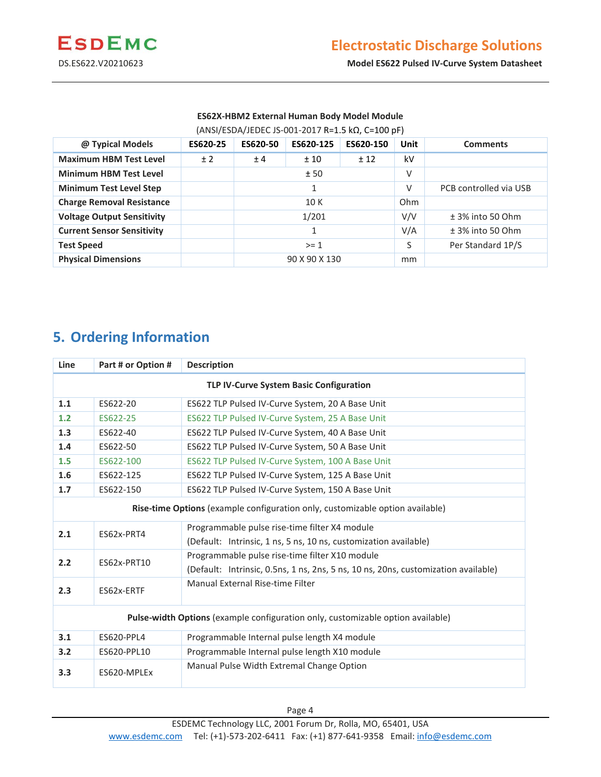

DS.ES622.V20210623 **Model ES622 Pulsed IV-Curve System Datasheet**

#### **ES62X-HBM2 External Human Body Model Module**  (ANSI/ESDA/JEDEC JS-001-2017 R=1.5 kΩ, C=100 pF)

| @ Typical Models                  | ES620-25 | ES620-50      | ES620-125 | ES620-150 | <b>Unit</b>        | <b>Comments</b>        |
|-----------------------------------|----------|---------------|-----------|-----------|--------------------|------------------------|
| <b>Maximum HBM Test Level</b>     | ±2       | ±4            | ±10       | ± 12      | kV                 |                        |
| <b>Minimum HBM Test Level</b>     |          | ±50           |           | V         |                    |                        |
| <b>Minimum Test Level Step</b>    |          |               |           |           | V                  | PCB controlled via USB |
| <b>Charge Removal Resistance</b>  |          | 10 K          |           | Ohm       |                    |                        |
| <b>Voltage Output Sensitivity</b> |          | 1/201         |           | V/V       | $±$ 3% into 50 Ohm |                        |
| <b>Current Sensor Sensitivity</b> |          |               |           | V/A       | $±$ 3% into 50 Ohm |                        |
| <b>Test Speed</b>                 |          | $>= 1$        |           |           | S                  | Per Standard 1P/S      |
| <b>Physical Dimensions</b>        |          | 90 X 90 X 130 |           | mm        |                    |                        |

# **5. Ordering Information**

| Line                                                                            | Part # or Option # | <b>Description</b>                                                                                                                   |  |  |  |  |
|---------------------------------------------------------------------------------|--------------------|--------------------------------------------------------------------------------------------------------------------------------------|--|--|--|--|
| TLP IV-Curve System Basic Configuration                                         |                    |                                                                                                                                      |  |  |  |  |
| 1.1                                                                             | ES622-20           | ES622 TLP Pulsed IV-Curve System, 20 A Base Unit                                                                                     |  |  |  |  |
| 1.2                                                                             | ES622-25           | ES622 TLP Pulsed IV-Curve System, 25 A Base Unit                                                                                     |  |  |  |  |
| 1.3                                                                             | ES622-40           | ES622 TLP Pulsed IV-Curve System, 40 A Base Unit                                                                                     |  |  |  |  |
| 1.4                                                                             | ES622-50           | ES622 TLP Pulsed IV-Curve System, 50 A Base Unit                                                                                     |  |  |  |  |
| 1.5                                                                             | ES622-100          | ES622 TLP Pulsed IV-Curve System, 100 A Base Unit                                                                                    |  |  |  |  |
| 1.6                                                                             | ES622-125          | ES622 TLP Pulsed IV-Curve System, 125 A Base Unit                                                                                    |  |  |  |  |
| 1.7                                                                             | ES622-150          | ES622 TLP Pulsed IV-Curve System, 150 A Base Unit                                                                                    |  |  |  |  |
| Rise-time Options (example configuration only, customizable option available)   |                    |                                                                                                                                      |  |  |  |  |
| 2.1                                                                             | ES62x-PRT4         | Programmable pulse rise-time filter X4 module<br>(Default: Intrinsic, 1 ns, 5 ns, 10 ns, customization available)                    |  |  |  |  |
| 2.2                                                                             | ES62x-PRT10        | Programmable pulse rise-time filter X10 module<br>(Default: Intrinsic, 0.5ns, 1 ns, 2ns, 5 ns, 10 ns, 20ns, customization available) |  |  |  |  |
| 2.3                                                                             | ES62x-ERTF         | Manual External Rise-time Filter                                                                                                     |  |  |  |  |
| Pulse-width Options (example configuration only, customizable option available) |                    |                                                                                                                                      |  |  |  |  |
| 3.1                                                                             | ES620-PPL4         | Programmable Internal pulse length X4 module                                                                                         |  |  |  |  |
| 3.2                                                                             | ES620-PPL10        | Programmable Internal pulse length X10 module                                                                                        |  |  |  |  |
| 3.3                                                                             | ES620-MPLEx        | Manual Pulse Width Extremal Change Option                                                                                            |  |  |  |  |